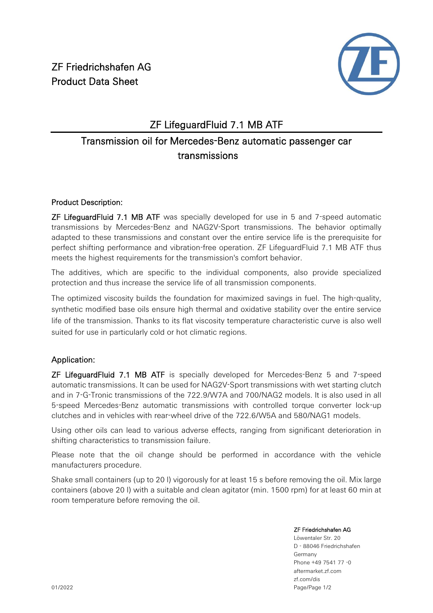

### ZF LifeguardFluid 7.1 MB ATF

## Transmission oil for Mercedes-Benz automatic passenger car transmissions

#### Product Description:

ZF LifeguardFluid 7.1 MB ATF was specially developed for use in 5 and 7-speed automatic transmissions by Mercedes-Benz and NAG2V-Sport transmissions. The behavior optimally adapted to these transmissions and constant over the entire service life is the prerequisite for perfect shifting performance and vibration-free operation. ZF LifeguardFluid 7.1 MB ATF thus meets the highest requirements for the transmission's comfort behavior.

The additives, which are specific to the individual components, also provide specialized protection and thus increase the service life of all transmission components.

The optimized viscosity builds the foundation for maximized savings in fuel. The high-quality, synthetic modified base oils ensure high thermal and oxidative stability over the entire service life of the transmission. Thanks to its flat viscosity temperature characteristic curve is also well suited for use in particularly cold or hot climatic regions.

### Application:

ZF LifeguardFluid 7.1 MB ATF is specially developed for Mercedes-Benz 5 and 7-speed automatic transmissions. It can be used for NAG2V-Sport transmissions with wet starting clutch and in 7-G-Tronic transmissions of the 722.9/W7A and 700/NAG2 models. It is also used in all 5-speed Mercedes-Benz automatic transmissions with controlled torque converter lock-up clutches and in vehicles with rear-wheel drive of the 722.6/W5A and 580/NAG1 models.

Using other oils can lead to various adverse effects, ranging from significant deterioration in shifting characteristics to transmission failure.

Please note that the oil change should be performed in accordance with the vehicle manufacturers procedure.

Shake small containers (up to 20 l) vigorously for at least 15 s before removing the oil. Mix large containers (above 20 l) with a suitable and clean agitator (min. 1500 rpm) for at least 60 min at room temperature before removing the oil.

#### ZF Friedrichshafen AG

Löwentaler Str. 20 D - 88046 Friedrichshafen Germany Phone +49 7541 77 -0 aftermarket.zf.com zf.com/dis Page/Page 1/2